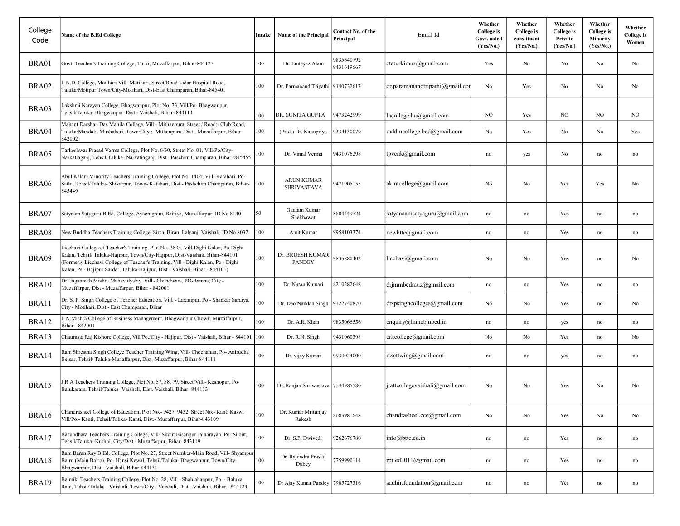| College<br>Code | Name of the B.Ed College                                                                                                                                                                                                                                                                                                              | Intake | Name of the Principal                   | Contact No. of the<br>Principal | Email Id                           | Whether<br>College is<br>Govt. aided<br>(Yes/No.) | Whether<br><b>College</b> is<br>constituent<br>(Yes/No.) | Whether<br><b>College</b> is<br>Private<br>(Yes/No.) | Whether<br><b>College</b> is<br><b>Minority</b><br>(Yes/No.) | Whether<br><b>College</b> is<br>Women |
|-----------------|---------------------------------------------------------------------------------------------------------------------------------------------------------------------------------------------------------------------------------------------------------------------------------------------------------------------------------------|--------|-----------------------------------------|---------------------------------|------------------------------------|---------------------------------------------------|----------------------------------------------------------|------------------------------------------------------|--------------------------------------------------------------|---------------------------------------|
| BRA01           | Govt. Teacher's Training College, Turki, Muzaffarpur, Bihar-844127                                                                                                                                                                                                                                                                    | 100    | Dr. Emteyaz Alam                        | 9835640792<br>9431619667        | cteturkimuz@gmail.com              | Yes                                               | No                                                       | No                                                   | No                                                           | No                                    |
| BRA02           | L.N.D. College, Motihari Vill- Motihari, Street/Road-sadar Hospital Road,<br>Taluka/Motipur Town/City-Motihari, Dist-East Champaran, Bihar-845401                                                                                                                                                                                     | 100    | Dr. Parmanand Tripathi 9140732617       |                                 | $dr$ .paramanandtripathi@gmail.com | No                                                | Yes                                                      | No                                                   | No                                                           | No                                    |
| BRA03           | Lakshmi Narayan College, Bhagwanpur, Plot No. 73, Vill/Po- Bhagwanpur,<br>Tehsil/Taluka-Bhagwanpur, Dist.- Vaishali, Bihar-844114                                                                                                                                                                                                     | 100    | DR. SUNITA GUPTA                        | 9473242999                      | lncollege.bu@gmail.com             | NO.                                               | Yes                                                      | NO.                                                  | NO.                                                          | NO.                                   |
| BRA04           | Mahant Darshan Das Mahila College, Vill:- Mithanpura, Street / Road:- Club Road,<br>Taluka/Mandal:- Mushahari, Town/City :- Mithanpura, Dist:- Muzaffarpur, Bihar-<br>842002                                                                                                                                                          | 100    | (Prof.) Dr. Kanupriya                   | 9334130079                      | mddmcollege.bed@gmail.com          | No                                                | Yes                                                      | No                                                   | No                                                           | Yes                                   |
| BRA05           | Tarkeshwar Prasad Varma College, Plot No. 6/30, Street No. 01, Vill/Po/City-<br>Narkatiaganj, Tehsil/Taluka- Narkatiaganj, Dist.- Paschim Champaran, Bihar- 845455                                                                                                                                                                    | 100    | Dr. Vimal Verma                         | 9431076298                      | tpvcnk@gmail.com                   | no                                                | yes                                                      | No                                                   | $\operatorname{no}$                                          | $\operatorname{no}$                   |
| BRA06           | Abul Kalam Minority Teachers Training College, Plot No. 1404, Vill- Katahari, Po-<br>Sathi, Tehsil/Taluka- Shikarpur, Town- Katahari, Dist.- Pashchim Champaran, Bihar-<br>845449                                                                                                                                                     | 100    | <b>ARUN KUMAR</b><br><b>SHRIVASTAVA</b> | 9471905155                      | akmtcollege@gmail.com              | No                                                | No                                                       | Yes                                                  | Yes                                                          | No                                    |
| BRA07           | Satynam Satyguru B.Ed. College, Ayachigram, Bairiya, Muzaffarpur. ID No 8140                                                                                                                                                                                                                                                          | 50     | Gautam Kumar<br>Shekhawat               | 8804449724                      | satyanaamsatyaguru@gmail.com       | no                                                | no                                                       | Yes                                                  | no                                                           | no                                    |
| BRA08           | New Buddha Teachers Training College, Sirsa, Biran, Lalganj, Vaishali, ID No 8032                                                                                                                                                                                                                                                     | 100    | Amit Kumar                              | 9958103374                      | newbttc@gmail.com                  | no                                                | no                                                       | Yes                                                  | no                                                           | $\operatorname{no}$                   |
| BRA09           | Licchavi College of Teacher's Training, Plot No.-3834, Vill-Dighi Kalan, Po-Dighi<br>Kalan, Tehsil/Taluka-Hajipur, Town/City-Hajipur, Dist-Vaishali, Bihar-844101<br>(Formerly Licchavi College of Teacher's Training, Vill - Dighi Kalan, Po - Dighi<br>Kalan, Ps - Hajipur Sardar, Taluka-Hajipur, Dist - Vaishali, Bihar - 844101) | 100    | Dr. BRUESH KUMAR<br><b>PANDEY</b>       | 9835880402                      | licchavi@gmail.com                 | No                                                | No                                                       | Yes                                                  | no                                                           | No                                    |
| BRA10           | Dr. Jagannath Mishra Mahavidyalay, Vill - Chandwara, PO-Ramna, City -<br>Muzaffarpur, Dist - Muzaffarpur, Bihar - 842001                                                                                                                                                                                                              | 100    | Dr. Nutan Kumari                        | 8210282648                      | drjmmbedmuz@gmail.com              | no                                                | no                                                       | Yes                                                  | no                                                           | no                                    |
| BRA11           | Dr. S. P. Singh College of Teacher Education, Vill. - Laxmipur, Po - Shankar Saraiya,<br>City - Motihari, Dist - East Champaran, Bihar                                                                                                                                                                                                | 100    | Dr. Deo Nandan Singh                    | 9122740870                      | drspsinghcolleges@gmail.com        | No                                                | No                                                       | Yes                                                  | $\operatorname{no}$                                          | No                                    |
| BRA12           | N.Mishra College of Business Management, Bhagwanpur Chowk, Muzaffarpur,<br>Bihar - 842001                                                                                                                                                                                                                                             | 100    | Dr. A.R. Khan                           | 9835066556                      | enquiry@Inmcbmbed.in               | no                                                | no                                                       | yes                                                  | no                                                           | no                                    |
| BRA13           | Chaurasia Raj Kishore College, Vill/Po./City - Hajipur, Dist - Vaishali, Bihar - 844101                                                                                                                                                                                                                                               | 100    | Dr. R.N. Singh                          | 9431060398                      | crkcollege@gmail.com               | No                                                | No                                                       | Yes                                                  | $\operatorname{no}$                                          | No                                    |
| BRA14           | Ram Shrestha Singh College Teacher Training Wing, Vill- Chochahan, Po- Anirudha<br>Belsar, Tehsil/Taluka-Muzaffarpur, Dist.-Muzaffarpur, Bihar-844111                                                                                                                                                                                 | 100    | Dr. vijay Kumar                         | 9939024000                      | rsscttwing@gmail.com               | no                                                | no                                                       | yes                                                  | no                                                           | $\operatorname{no}$                   |
| BRA15           | R A Teachers Training College, Plot No. 57, 58, 79, Street/Vill.- Keshopur, Po-<br>Balukaram, Tehsil/Taluka- Vaishali, Dist.-Vaishali, Bihar-844113                                                                                                                                                                                   | 100    | Dr. Ranjan Shriwastava                  | 7544985580                      | jrattcollegevaishali@gmail.com     | No                                                | No                                                       | Yes                                                  | No                                                           | No                                    |
| BRA16           | Chandrasheel College of Education, Plot No.- 9427, 9432, Street No.- Kanti Kasw,<br>Vill/Po.- Kanti, Tehsil/Talika- Kanti, Dist.- Muzaffarpur, Bihar-843109                                                                                                                                                                           | 100    | Dr. Kumar Mritunjay<br>Rakesh           | 8083981648                      | chandrasheel.cce@gmail.com         | No                                                | No                                                       | Yes                                                  | No                                                           | No                                    |
| BRA17           | Basundhara Teachers Training College, Vill- Silout Bisanpur Jainarayan, Po- Silout,<br>Tehsil/Taluka- Kurhni, City/Dist.- Muzaffarpur, Bihar- 843119                                                                                                                                                                                  | 100    | Dr. S.P. Dwivedi                        | 9262676780                      | info@bttc.co.in                    | no                                                | no                                                       | Yes                                                  | $\operatorname{no}$                                          | $\operatorname{no}$                   |
| BRA18           | Ram Baran Ray B.Ed. College, Plot No. 27, Street Number-Main Road, Vill- Shyampur<br>Bairo (Main Bairo), Po- Hansi Kewal, Tehsil/Taluka- Bhagwanpur, Town/City-<br>Bhagwanpur, Dist.- Vaishali, Bihar-844131                                                                                                                          | 100    | Dr. Rajendra Prasad<br>Dubey            | 7759990114                      | rbr.ed2011@gmail.com               | no                                                | no                                                       | Yes                                                  | $\operatorname{no}$                                          | no                                    |
| BRA19           | Balmiki Teachers Training College, Plot No. 28, Vill - Shahjahanpur, Po. - Baluka<br>Ram, Tehsil/Taluka - Vaishali, Town/City - Vaishali, Dist. -Vaishali, Bihar - 844124                                                                                                                                                             | 100    | Dr.Ajay Kumar Pandey                    | 7905727316                      | sudhir.foundation@gmail.com        | no                                                | no                                                       | Yes                                                  | no                                                           | no                                    |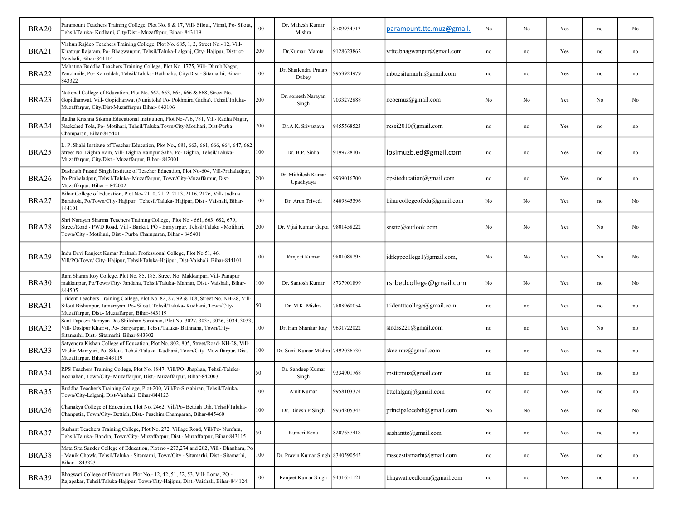| BRA20        | Paramount Teachers Training College, Plot No. 8 & 17, Vill- Silout, Vimal, Po- Silout,<br>Tehsil/Taluka- Kudhani, City/Dist.- Muzaffrpur, Bihar- 843119                                                                           | 100 | Dr. Mahesh Kumar<br>Mishra        | 8789934713 | paramount.ttc.muz@gmail     | No                  | No       | Yes | no                  | No                  |
|--------------|-----------------------------------------------------------------------------------------------------------------------------------------------------------------------------------------------------------------------------------|-----|-----------------------------------|------------|-----------------------------|---------------------|----------|-----|---------------------|---------------------|
| BRA21        | Vishun Rajdeo Teachers Training College, Plot No. 685, 1, 2, Street No.- 12, Vill-<br>Kiratpur Rajaram, Po- Bhagwanpur, Tehsil/Taluka-Lalganj, City- Hajipur, District-<br>Vaishali, Bihar-844114                                 | 200 | Dr.Kumari Mamta                   | 9128623862 | vrttc.bhagwanpur@gmail.com  | no                  | no       | Yes | $\operatorname{no}$ | no                  |
| BRA22        | Mahatma Buddha Teachers Training College, Plot No. 1775, Vill- Dhrub Nagar,<br>Panchmile, Po- Kamaldah, Tehsil/Taluka- Bathnaha, City/Dist.- Sitamarhi, Bihar-<br>843322                                                          | 100 | Dr. Shailendra Pratap<br>Dubey    | 9953924979 | mbttcsitamarhi@gmail.com    | no                  | no       | Yes | no                  | no                  |
| BRA23        | National College of Education, Plot No. 662, 663, 665, 666 & 668, Street No.-<br>Gopidhanwat, Vill- Gopidhanwat (Nuniatola) Po-Pokhraira(Gidha), Tehsil/Taluka-<br>Muzaffarpur, City/Dist-Muzaffarpur Bihar- 843106               | 200 | Dr. somesh Narayan<br>Singh       | 7033272888 | ncoemuz@gmail.com           | No                  | No       | Yes | No                  | No                  |
| BRA24        | Radha Krishna Sikaria Educational Institution, Plot No-776, 781, Vill- Radha Nagar,<br>Nackched Tola, Po- Motihari, Tehsil/Taluka/Town/City-Motihari, Dist-Purba<br>Champaran, Bihar-845401                                       | 200 | Dr.A.K. Srivastava                | 9455568523 | rksei2010@gmail.com         | no                  | no       | Yes | no                  | no                  |
| BRA25        | L. P. Shahi Institute of Teacher Education, Plot No., 681, 663, 661, 666, 664, 647, 662.<br>Street No. Dighra Ram, Vill- Dighra Rampur Saha, Po- Dighra, Tehsil/Taluka-<br>Muzaffarpur, City/Dist.- Muzaffarpur, Bihar- 842001    | 100 | Dr. B.P. Sinha                    | 9199728107 | lpsimuzb.ed@gmail.com       | no                  | no       | Yes | no                  | no                  |
| BRA26        | Dashrath Prasad Singh Institute of Teacher Education, Plot No-604, Vill-Prahaladpur,<br>Po-Prahaladpur, Tehsil/Taluka- Muzaffarpur, Town/City-Muzaffarpur, Dist-<br>Muzaffarpur, Bihar - 842002                                   | 200 | Dr. Mithilesh Kumar<br>Upadhyaya  | 9939016700 | dpsiteducation@gmail.com    | no                  | no       | Yes | no                  | no                  |
| BRA27        | Bihar College of Education, Plot No- 2110, 2112, 2113, 2116, 2126, Vill- Jadhua<br>Baraitola, Po/Town/City-Hajipur, Tehesil/Taluka-Hajipur, Dist - Vaishali, Bihar-<br>344101                                                     | 100 | Dr. Arun Trivedi                  | 8409845396 | biharcollegeofedu@gmail.com | No                  | No       | Yes | no                  | No                  |
| BRA28        | Shri Narayan Sharma Teachers Training College, Plot No - 661, 663, 682, 679,<br>Street/Road - PWD Road, Vill - Bankat, PO - Bariyarpur, Tehsil/Taluka - Motihari,<br>Town/City - Motihari, Dist - Purba Champaran, Bihar - 845401 | 200 | Dr. Vijai Kumar Gupta 9801458222  |            | snsttc@outlook.com          | No                  | No       | Yes | No                  | No                  |
| <b>BRA29</b> | ndu Devi Ranjeet Kumar Prakash Professional College, Plot No.51, 46,<br>Vill/PO/Town/ City-Hajipur, Tehsil/Taluka-Hajipur, Dist-Vaishali, Bihar-844101                                                                            | 100 | Ranjeet Kumar                     | 9801088295 | idrkppcollege1@gmail.com,   | No                  | No       | Yes | No                  | No                  |
| BRA30        | Ram Sharan Roy College, Plot No. 85, 185, Street No. Makkanpur, Vill- Panapur<br>makkanpur, Po/Town/City- Jandaha, Tehsil/Taluka- Mahnar, Dist.- Vaishali, Bihar-<br>844505                                                       | 100 | Dr. Santosh Kumar                 | 8737901899 | rsrbedcollege@gmail.com     | No                  | No       | Yes | no                  | No                  |
| BRA31        | Trident Teachers Training College, Plot No. 82, 87, 99 & 108, Street No. NH-28, Vill-<br>Silout Bishunpur, Jainarayan, Po- Silout, Tehsil/Taluka- Kudhani, Town/City-<br>Muzaffarpur, Dist.- Muzaffarpur, Bihar-843119            | 50  | Dr. M.K. Mishra                   | 7808960054 | tridentttcollege@gmail.com  | no                  | no       | Yes | $\operatorname{no}$ | no                  |
| BRA32        | Sant Tapasvi Narayan Das Shikshan Sansthan, Plot No. 3027, 3035, 3026, 3034, 3033.<br>Vill- Dostpur Khairvi, Po- Bariyarpur, Tehsil/Taluka- Bathnaha, Town/City-<br>Sitamarhi, Dist.- Sitamarhi, Bihar-843302                     | 100 | Dr. Hari Shankar Ray              | 9631722022 | stndss221@gmail.com         | no                  | no       | Yes | No                  | no                  |
| BRA33        | Satyendra Kishan College of Education, Plot No. 802, 805, Street/Road-NH-28, Vill-<br>Mishir Maniyari, Po- Silout, Tehsil/Taluka- Kudhani, Town/City- Muzaffarpur, Dist.-<br>Muzaffarpur, Bihar-843119                            | 100 | Dr. Sunil Kumar Mishra 7492036730 |            | skcemuz@gmail.com           | no                  | no       | Yes | no                  | no                  |
| BRA34        | RPS Teachers Training College, Plot No. 1847, Vill/PO- Jhaphan, Tehsil/Taluka-<br>Bochahan, Town/City- Muzaffarpur, Dist.- Muzaffarpur, Bihar-842003                                                                              | 50  | Dr. Sandeep Kumar<br>Singh        | 9334901768 | rpsttcmuz@gmail.com         | no                  | no       | Yes | no                  | no                  |
| BRA35        | Buddha Teacher's Training College, Plot-200, Vill/Po-Sirsabiran, Tehsil/Taluka/<br>Town/City-Lalganj, Dist-Vaishali, Bihar-844123                                                                                                 | 100 | Amit Kumar                        | 9958103374 | bttclalganj@gmail.com       | no                  | no       | Yes | no                  | no                  |
| BRA36        | Chanakya College of Education, Plot No. 2462, Vill/Po- Bettiah Dih, Tehsil/Taluka-<br>Chanpatia, Town/City-Bettiah, Dist.-Paschim Champaran, Bihar-845460                                                                         | 100 | Dr. Dinesh P Singh                | 9934205345 | principalccebth@gmail.com   | $\rm No$            | $\rm No$ | Yes | $\operatorname{no}$ | No                  |
| BRA37        | Sushant Teachers Training College, Plot No. 272, Village Road, Vill/Po-Nunfara,<br>Tehsil/Taluka-Bandra, Town/City-Muzaffarpur, Dist.- Muzaffarpur, Bihar-843115                                                                  | 50  | Kumari Renu                       | 8207657418 | sushanttc@gmail.com         | no                  | no       | Yes | $\operatorname{no}$ | $\operatorname{no}$ |
| BRA38        | Mata Sita Sunder College of Education, Plot no - 273,274 and 282, Vill - Dhanhara, Po<br>Manik Chowk, Tehsil/Taluka - Sitamarhi, Town/City - Sitamarhi, Dist - Sitamarhi,<br>Bihar - 843323                                       | 100 | Dr. Pravin Kumar Singh 8340590545 |            | msscesitamarhi@gmail.com    | no                  | no       | Yes | $\operatorname{no}$ | no                  |
| BRA39        | Bhagwati College of Education, Plot No.- 12, 42, 51, 52, 53, Vill- Loma, PO.-<br>Rajapakar, Tehsil/Taluka-Hajipur, Town/City-Hajipur, Dist.-Vaishali, Bihar-844124.                                                               | 100 | Ranjeet Kumar Singh               | 9431651121 | bhagwaticedloma@gmail.com   | $\operatorname{no}$ | no       | Yes | $\operatorname{no}$ | $\operatorname{no}$ |